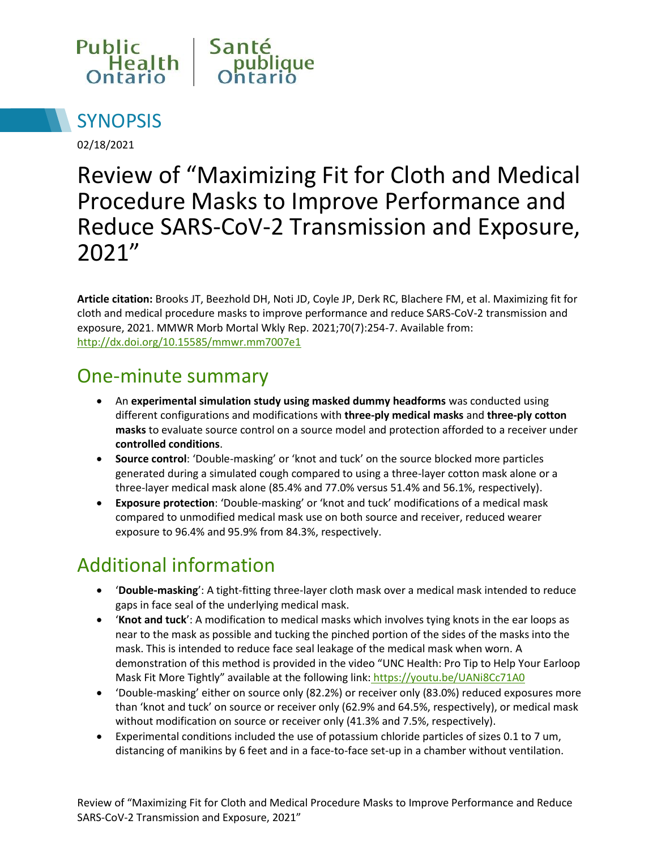



02/18/2021

# Review of "Maximizing Fit for Cloth and Medical Procedure Masks to Improve Performance and Reduce SARS-CoV-2 Transmission and Exposure, 2021"

**Article citation:** Brooks JT, Beezhold DH, Noti JD, Coyle JP, Derk RC, Blachere FM, et al. Maximizing fit for cloth and medical procedure masks to improve performance and reduce SARS-CoV-2 transmission and exposure, 2021. MMWR Morb Mortal Wkly Rep. 2021;70(7):254-7. Available from: <http://dx.doi.org/10.15585/mmwr.mm7007e1>

#### One-minute summary

- An **experimental simulation study using masked dummy headforms** was conducted using different configurations and modifications with **three-ply medical masks** and **three-ply cotton masks** to evaluate source control on a source model and protection afforded to a receiver under **controlled conditions**.
- **Source control**: 'Double-masking' or 'knot and tuck' on the source blocked more particles generated during a simulated cough compared to using a three-layer cotton mask alone or a three-layer medical mask alone (85.4% and 77.0% versus 51.4% and 56.1%, respectively).
- **Exposure protection**: 'Double-masking' or 'knot and tuck' modifications of a medical mask compared to unmodified medical mask use on both source and receiver, reduced wearer exposure to 96.4% and 95.9% from 84.3%, respectively.

## Additional information

- '**Double-masking**': A tight-fitting three-layer cloth mask over a medical mask intended to reduce gaps in face seal of the underlying medical mask.
- '**Knot and tuck**': A modification to medical masks which involves tying knots in the ear loops as near to the mask as possible and tucking the pinched portion of the sides of the masks into the mask. This is intended to reduce face seal leakage of the medical mask when worn. A demonstration of this method is provided in the video "UNC Health: Pro Tip to Help Your Earloop Mask Fit More Tightly" available at the following link: <https://youtu.be/UANi8Cc71A0>
- 'Double-masking' either on source only (82.2%) or receiver only (83.0%) reduced exposures more than 'knot and tuck' on source or receiver only (62.9% and 64.5%, respectively), or medical mask without modification on source or receiver only (41.3% and 7.5%, respectively).
- Experimental conditions included the use of potassium chloride particles of sizes 0.1 to 7 um, distancing of manikins by 6 feet and in a face-to-face set-up in a chamber without ventilation.

Review of "Maximizing Fit for Cloth and Medical Procedure Masks to Improve Performance and Reduce SARS-CoV-2 Transmission and Exposure, 2021"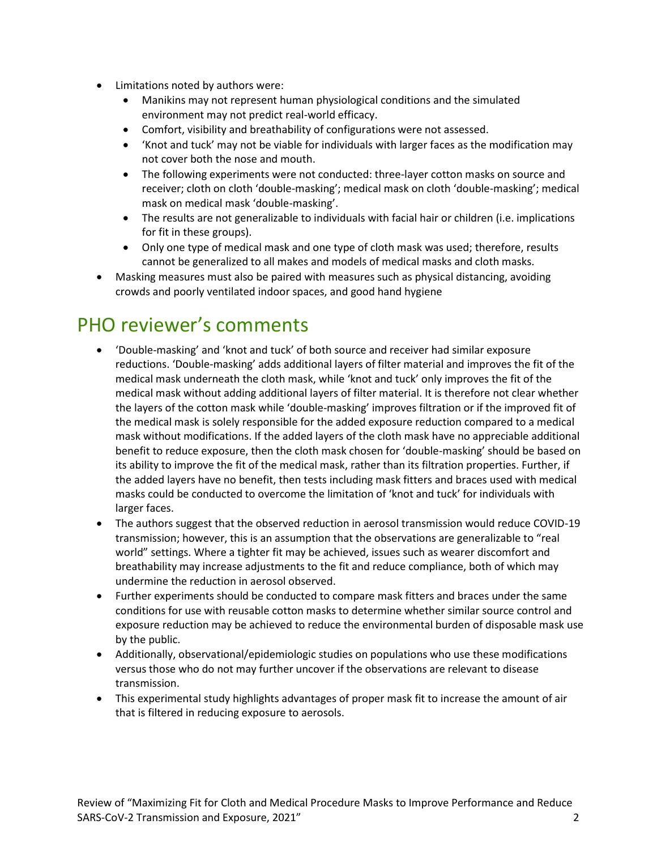- Limitations noted by authors were:
	- Manikins may not represent human physiological conditions and the simulated environment may not predict real-world efficacy.
	- Comfort, visibility and breathability of configurations were not assessed.
	- 'Knot and tuck' may not be viable for individuals with larger faces as the modification may not cover both the nose and mouth.
	- The following experiments were not conducted: three-layer cotton masks on source and receiver; cloth on cloth 'double-masking'; medical mask on cloth 'double-masking'; medical mask on medical mask 'double-masking'.
	- The results are not generalizable to individuals with facial hair or children (i.e. implications for fit in these groups).
	- Only one type of medical mask and one type of cloth mask was used; therefore, results cannot be generalized to all makes and models of medical masks and cloth masks.
- Masking measures must also be paired with measures such as physical distancing, avoiding crowds and poorly ventilated indoor spaces, and good hand hygiene

### PHO reviewer's comments

- 'Double-masking' and 'knot and tuck' of both source and receiver had similar exposure reductions. 'Double-masking' adds additional layers of filter material and improves the fit of the medical mask underneath the cloth mask, while 'knot and tuck' only improves the fit of the medical mask without adding additional layers of filter material. It is therefore not clear whether the layers of the cotton mask while 'double-masking' improves filtration or if the improved fit of the medical mask is solely responsible for the added exposure reduction compared to a medical mask without modifications. If the added layers of the cloth mask have no appreciable additional benefit to reduce exposure, then the cloth mask chosen for 'double-masking' should be based on its ability to improve the fit of the medical mask, rather than its filtration properties. Further, if the added layers have no benefit, then tests including mask fitters and braces used with medical masks could be conducted to overcome the limitation of 'knot and tuck' for individuals with larger faces.
- The authors suggest that the observed reduction in aerosol transmission would reduce COVID-19 transmission; however, this is an assumption that the observations are generalizable to "real world" settings. Where a tighter fit may be achieved, issues such as wearer discomfort and breathability may increase adjustments to the fit and reduce compliance, both of which may undermine the reduction in aerosol observed.
- Further experiments should be conducted to compare mask fitters and braces under the same conditions for use with reusable cotton masks to determine whether similar source control and exposure reduction may be achieved to reduce the environmental burden of disposable mask use by the public.
- Additionally, observational/epidemiologic studies on populations who use these modifications versus those who do not may further uncover if the observations are relevant to disease transmission.
- This experimental study highlights advantages of proper mask fit to increase the amount of air that is filtered in reducing exposure to aerosols.